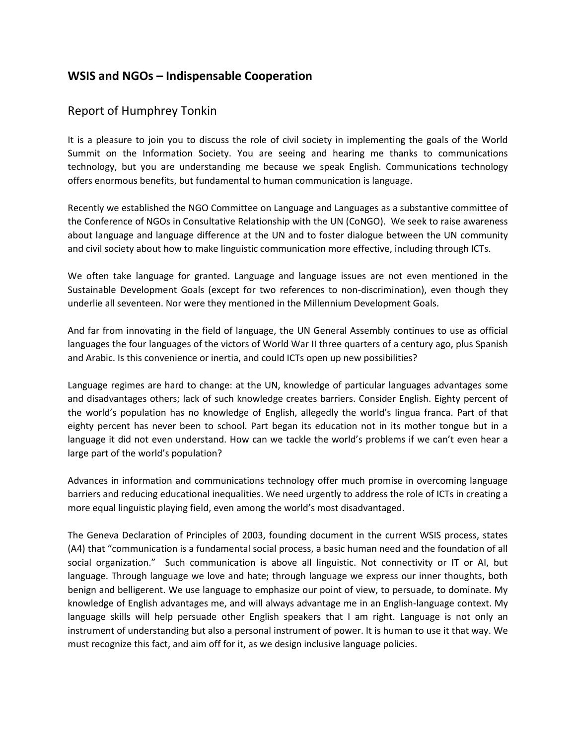## **WSIS and NGOs – Indispensable Cooperation**

## Report of Humphrey Tonkin

It is a pleasure to join you to discuss the role of civil society in implementing the goals of the World Summit on the Information Society. You are seeing and hearing me thanks to communications technology, but you are understanding me because we speak English. Communications technology offers enormous benefits, but fundamental to human communication is language.

Recently we established the NGO Committee on Language and Languages as a substantive committee of the Conference of NGOs in Consultative Relationship with the UN (CoNGO). We seek to raise awareness about language and language difference at the UN and to foster dialogue between the UN community and civil society about how to make linguistic communication more effective, including through ICTs.

We often take language for granted. Language and language issues are not even mentioned in the Sustainable Development Goals (except for two references to non-discrimination), even though they underlie all seventeen. Nor were they mentioned in the Millennium Development Goals.

And far from innovating in the field of language, the UN General Assembly continues to use as official languages the four languages of the victors of World War II three quarters of a century ago, plus Spanish and Arabic. Is this convenience or inertia, and could ICTs open up new possibilities?

Language regimes are hard to change: at the UN, knowledge of particular languages advantages some and disadvantages others; lack of such knowledge creates barriers. Consider English. Eighty percent of the world's population has no knowledge of English, allegedly the world's lingua franca. Part of that eighty percent has never been to school. Part began its education not in its mother tongue but in a language it did not even understand. How can we tackle the world's problems if we can't even hear a large part of the world's population?

Advances in information and communications technology offer much promise in overcoming language barriers and reducing educational inequalities. We need urgently to address the role of ICTs in creating a more equal linguistic playing field, even among the world's most disadvantaged.

The Geneva Declaration of Principles of 2003, founding document in the current WSIS process, states (A4) that "communication is a fundamental social process, a basic human need and the foundation of all social organization." Such communication is above all linguistic. Not connectivity or IT or AI, but language. Through language we love and hate; through language we express our inner thoughts, both benign and belligerent. We use language to emphasize our point of view, to persuade, to dominate. My knowledge of English advantages me, and will always advantage me in an English-language context. My language skills will help persuade other English speakers that I am right. Language is not only an instrument of understanding but also a personal instrument of power. It is human to use it that way. We must recognize this fact, and aim off for it, as we design inclusive language policies.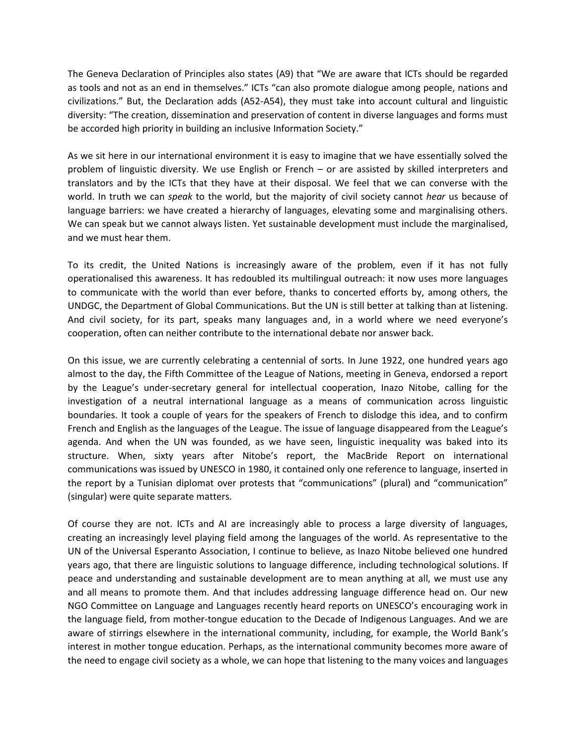The Geneva Declaration of Principles also states (A9) that "We are aware that ICTs should be regarded as tools and not as an end in themselves." ICTs "can also promote dialogue among people, nations and civilizations." But, the Declaration adds (A52-A54), they must take into account cultural and linguistic diversity: "The creation, dissemination and preservation of content in diverse languages and forms must be accorded high priority in building an inclusive Information Society."

As we sit here in our international environment it is easy to imagine that we have essentially solved the problem of linguistic diversity. We use English or French – or are assisted by skilled interpreters and translators and by the ICTs that they have at their disposal. We feel that we can converse with the world. In truth we can *speak* to the world, but the majority of civil society cannot *hear* us because of language barriers: we have created a hierarchy of languages, elevating some and marginalising others. We can speak but we cannot always listen. Yet sustainable development must include the marginalised, and we must hear them.

To its credit, the United Nations is increasingly aware of the problem, even if it has not fully operationalised this awareness. It has redoubled its multilingual outreach: it now uses more languages to communicate with the world than ever before, thanks to concerted efforts by, among others, the UNDGC, the Department of Global Communications. But the UN is still better at talking than at listening. And civil society, for its part, speaks many languages and, in a world where we need everyone's cooperation, often can neither contribute to the international debate nor answer back.

On this issue, we are currently celebrating a centennial of sorts. In June 1922, one hundred years ago almost to the day, the Fifth Committee of the League of Nations, meeting in Geneva, endorsed a report by the League's under-secretary general for intellectual cooperation, Inazo Nitobe, calling for the investigation of a neutral international language as a means of communication across linguistic boundaries. It took a couple of years for the speakers of French to dislodge this idea, and to confirm French and English as the languages of the League. The issue of language disappeared from the League's agenda. And when the UN was founded, as we have seen, linguistic inequality was baked into its structure. When, sixty years after Nitobe's report, the MacBride Report on international communications was issued by UNESCO in 1980, it contained only one reference to language, inserted in the report by a Tunisian diplomat over protests that "communications" (plural) and "communication" (singular) were quite separate matters.

Of course they are not. ICTs and AI are increasingly able to process a large diversity of languages, creating an increasingly level playing field among the languages of the world. As representative to the UN of the Universal Esperanto Association, I continue to believe, as Inazo Nitobe believed one hundred years ago, that there are linguistic solutions to language difference, including technological solutions. If peace and understanding and sustainable development are to mean anything at all, we must use any and all means to promote them. And that includes addressing language difference head on. Our new NGO Committee on Language and Languages recently heard reports on UNESCO's encouraging work in the language field, from mother-tongue education to the Decade of Indigenous Languages. And we are aware of stirrings elsewhere in the international community, including, for example, the World Bank's interest in mother tongue education. Perhaps, as the international community becomes more aware of the need to engage civil society as a whole, we can hope that listening to the many voices and languages